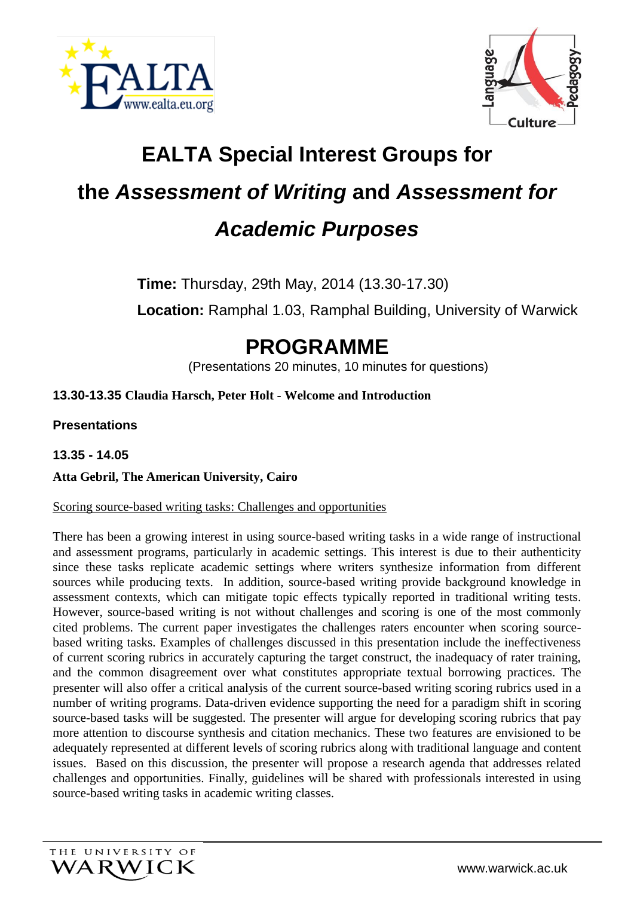



# **EALTA Special Interest Groups for the** *Assessment of Writing* **and** *Assessment for Academic Purposes*

 **Time:** Thursday, 29th May, 2014 (13.30-17.30)

 **Location:** Ramphal 1.03, Ramphal Building, University of Warwick

# **PROGRAMME**

(Presentations 20 minutes, 10 minutes for questions)

# **13.30-13.35 Claudia Harsch, Peter Holt - Welcome and Introduction**

**Presentations**

**13.35 - 14.05**

**Atta Gebril, The American University, Cairo**

# Scoring source-based writing tasks: Challenges and opportunities

There has been a growing interest in using source-based writing tasks in a wide range of instructional and assessment programs, particularly in academic settings. This interest is due to their authenticity since these tasks replicate academic settings where writers synthesize information from different sources while producing texts. In addition, source-based writing provide background knowledge in assessment contexts, which can mitigate topic effects typically reported in traditional writing tests. However, source-based writing is not without challenges and scoring is one of the most commonly cited problems. The current paper investigates the challenges raters encounter when scoring sourcebased writing tasks. Examples of challenges discussed in this presentation include the ineffectiveness of current scoring rubrics in accurately capturing the target construct, the inadequacy of rater training, and the common disagreement over what constitutes appropriate textual borrowing practices. The presenter will also offer a critical analysis of the current source-based writing scoring rubrics used in a number of writing programs. Data-driven evidence supporting the need for a paradigm shift in scoring source-based tasks will be suggested. The presenter will argue for developing scoring rubrics that pay more attention to discourse synthesis and citation mechanics. These two features are envisioned to be adequately represented at different levels of scoring rubrics along with traditional language and content issues. Based on this discussion, the presenter will propose a research agenda that addresses related challenges and opportunities. Finally, guidelines will be shared with professionals interested in using source-based writing tasks in academic writing classes.

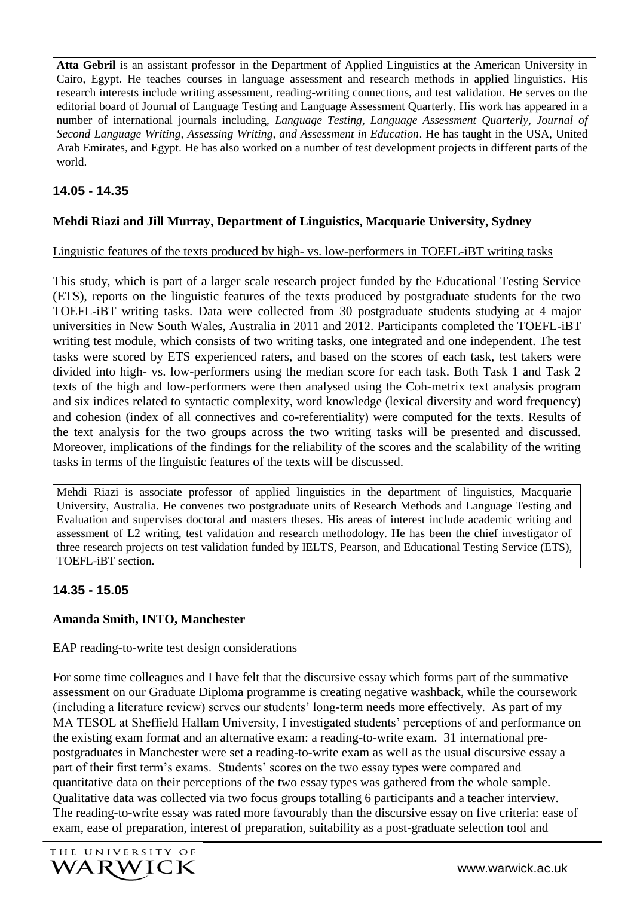**Atta Gebril** is an assistant professor in the Department of Applied Linguistics at the American University in Cairo, Egypt. He teaches courses in language assessment and research methods in applied linguistics. His research interests include writing assessment, reading-writing connections, and test validation. He serves on the editorial board of Journal of Language Testing and Language Assessment Quarterly. His work has appeared in a number of international journals including, *Language Testing, Language Assessment Quarterly, Journal of Second Language Writing, Assessing Writing, and Assessment in Education*. He has taught in the USA, United Arab Emirates, and Egypt. He has also worked on a number of test development projects in different parts of the world.

# **14.05 - 14.35**

# **Mehdi Riazi and Jill Murray, Department of Linguistics, Macquarie University, Sydney**

#### Linguistic features of the texts produced by high- vs. low-performers in TOEFL-iBT writing tasks

This study, which is part of a larger scale research project funded by the Educational Testing Service (ETS), reports on the linguistic features of the texts produced by postgraduate students for the two TOEFL-iBT writing tasks. Data were collected from 30 postgraduate students studying at 4 major universities in New South Wales, Australia in 2011 and 2012. Participants completed the TOEFL-iBT writing test module, which consists of two writing tasks, one integrated and one independent. The test tasks were scored by ETS experienced raters, and based on the scores of each task, test takers were divided into high- vs. low-performers using the median score for each task. Both Task 1 and Task 2 texts of the high and low-performers were then analysed using the Coh-metrix text analysis program and six indices related to syntactic complexity, word knowledge (lexical diversity and word frequency) and cohesion (index of all connectives and co-referentiality) were computed for the texts. Results of the text analysis for the two groups across the two writing tasks will be presented and discussed. Moreover, implications of the findings for the reliability of the scores and the scalability of the writing tasks in terms of the linguistic features of the texts will be discussed.

Mehdi Riazi is associate professor of applied linguistics in the department of linguistics, Macquarie University, Australia. He convenes two postgraduate units of Research Methods and Language Testing and Evaluation and supervises doctoral and masters theses. His areas of interest include academic writing and assessment of L2 writing, test validation and research methodology. He has been the chief investigator of three research projects on test validation funded by IELTS, Pearson, and Educational Testing Service (ETS), TOEFL-iBT section.

# **14.35 - 15.05**

#### **Amanda Smith, INTO, Manchester**

#### EAP reading-to-write test design considerations

For some time colleagues and I have felt that the discursive essay which forms part of the summative assessment on our Graduate Diploma programme is creating negative washback, while the coursework (including a literature review) serves our students' long-term needs more effectively. As part of my MA TESOL at Sheffield Hallam University, I investigated students' perceptions of and performance on the existing exam format and an alternative exam: a reading-to-write exam. 31 international prepostgraduates in Manchester were set a reading-to-write exam as well as the usual discursive essay a part of their first term's exams. Students' scores on the two essay types were compared and quantitative data on their perceptions of the two essay types was gathered from the whole sample. Qualitative data was collected via two focus groups totalling 6 participants and a teacher interview. The reading-to-write essay was rated more favourably than the discursive essay on five criteria: ease of exam, ease of preparation, interest of preparation, suitability as a post-graduate selection tool and

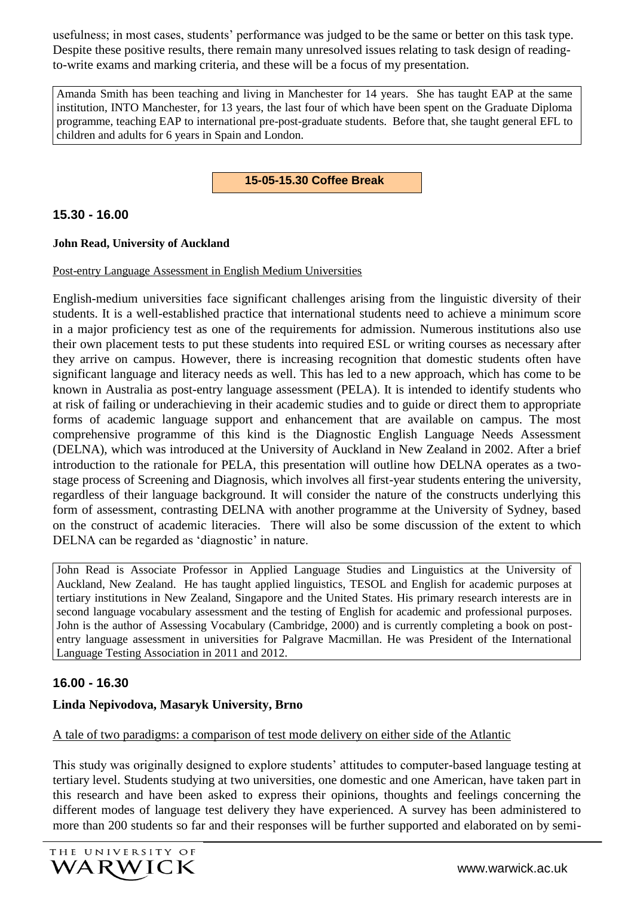usefulness; in most cases, students' performance was judged to be the same or better on this task type. Despite these positive results, there remain many unresolved issues relating to task design of readingto-write exams and marking criteria, and these will be a focus of my presentation.

Amanda Smith has been teaching and living in Manchester for 14 years. She has taught EAP at the same institution, INTO Manchester, for 13 years, the last four of which have been spent on the Graduate Diploma programme, teaching EAP to international pre-post-graduate students. Before that, she taught general EFL to children and adults for 6 years in Spain and London.

**15-05-15.30 Coffee Break**

#### **15.30 - 16.00**

#### **John Read, University of Auckland**

#### Post-entry Language Assessment in English Medium Universities

English-medium universities face significant challenges arising from the linguistic diversity of their students. It is a well-established practice that international students need to achieve a minimum score in a major proficiency test as one of the requirements for admission. Numerous institutions also use their own placement tests to put these students into required ESL or writing courses as necessary after they arrive on campus. However, there is increasing recognition that domestic students often have significant language and literacy needs as well. This has led to a new approach, which has come to be known in Australia as post-entry language assessment (PELA). It is intended to identify students who at risk of failing or underachieving in their academic studies and to guide or direct them to appropriate forms of academic language support and enhancement that are available on campus. The most comprehensive programme of this kind is the Diagnostic English Language Needs Assessment (DELNA), which was introduced at the University of Auckland in New Zealand in 2002. After a brief introduction to the rationale for PELA, this presentation will outline how DELNA operates as a twostage process of Screening and Diagnosis, which involves all first-year students entering the university, regardless of their language background. It will consider the nature of the constructs underlying this form of assessment, contrasting DELNA with another programme at the University of Sydney, based on the construct of academic literacies. There will also be some discussion of the extent to which DELNA can be regarded as 'diagnostic' in nature.

John Read is Associate Professor in Applied Language Studies and Linguistics at the University of Auckland, New Zealand. He has taught applied linguistics, TESOL and English for academic purposes at tertiary institutions in New Zealand, Singapore and the United States. His primary research interests are in second language vocabulary assessment and the testing of English for academic and professional purposes. John is the author of Assessing Vocabulary (Cambridge, 2000) and is currently completing a book on postentry language assessment in universities for Palgrave Macmillan. He was President of the International Language Testing Association in 2011 and 2012.

#### **16.00 - 16.30**

#### **Linda Nepivodova, Masaryk University, Brno**

#### A tale of two paradigms: a comparison of test mode delivery on either side of the Atlantic

This study was originally designed to explore students' attitudes to computer-based language testing at tertiary level. Students studying at two universities, one domestic and one American, have taken part in this research and have been asked to express their opinions, thoughts and feelings concerning the different modes of language test delivery they have experienced. A survey has been administered to more than 200 students so far and their responses will be further supported and elaborated on by semi-